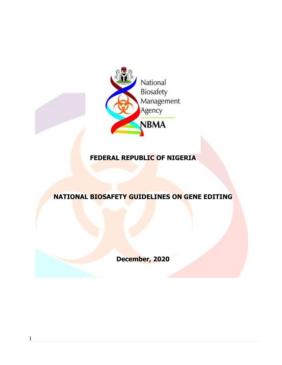

# **FEDERAL REPUBLIC OF NIGERIA**

# **NATIONAL BIOSAFETY GUIDELINES ON GENE EDITING**

**December, 2020**

1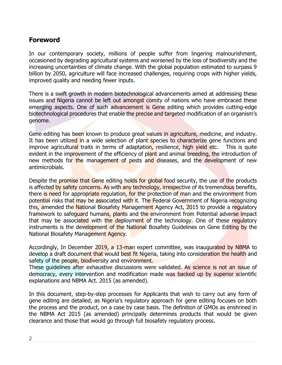# **Foreword**

In our contemporary society, millions of people suffer from lingering malnourishment, occasioned by degrading agricultural systems and worsened by the loss of biodiversity and the increasing uncertainties of climate change. With the global population estimated to surpass 9 billion by 2050, agriculture will face increased challenges, requiring crops with higher yields, improved quality and needing fewer inputs.

There is a swift growth in modern biotechnological advancements aimed at addressing these issues and Nigeria cannot be left out amongst comity of nations who have embraced these emerging aspects. One of such advancement is Gene editing which provides cutting-edge biotechnological procedures that enable the precise and targeted modification of an organism's genome.

Gene editing has been known to produce great values in agriculture, medicine, and industry. It has been utilized in a wide selection of plant species to characterize gene functions and improve agricultural traits in terms of adaptation, resilience, high yield etc. This is quite evident in the improvement of the efficiency of plant and animal breeding, the introduction of new methods for the management of pests and diseases, and the development of new antimicrobials.

Despite the promise that Gene editing holds for global food security, the use of the products is affected by safety concerns. As with any technology, irrespective of its tremendous benefits, there is need for appropriate regulation, for the protection of man and the environment from potential risks that may be associated with it. The Federal Government of Nigeria recognizing this, amended the National Biosafety Management Agency Act, 2015 to provide a regulatory framework to safeguard humans, plants and the environment from Potential adverse impact that may be associated with the deployment of the technology. One of these regulatory instruments is the development of the National Bosafety Guidelines on Gene Editing by the National Biosafety Management Agency.

Accordingly, In December 2019, a 13-man expert committee, was inaugurated by NBMA to develop a draft document that would best fit Nigeria, taking into consideration the health and safety of the people, biodiversity and environment.

These guidelines after exhaustive discussions were validated. As science is not an issue of democracy, every intervention and modification made was backed up by superior scientific explanations and NBMA Act. 2015 (as amended).

In this document, step-by-step processes for Applicants that wish to carry out any form of gene editing are detailed, as Nigeria's regulatory approach for gene editing focuses on both the process and the product, on a case by case basis. The definition of GMOs as enshrined in the NBMA Act 2015 (as amended) principally determines products that would be given clearance and those that would go through full biosafety regulatory process.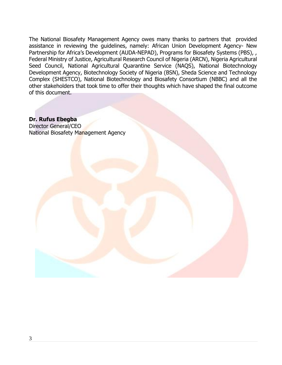The National Biosafety Management Agency owes many thanks to partners that provided assistance in reviewing the guidelines, namely: African Union Development Agency- New Partnership for Africa's Development (AUDA-NEPAD), Programs for Biosafety Systems (PBS), , Federal Ministry of Justice, Agricultural Research Council of Nigeria (ARCN), Nigeria Agricultural Seed Council, National Agricultural Quarantine Service (NAQS), National Biotechnology Development Agency, Biotechnology Society of Nigeria (BSN), Sheda Science and Technology Complex (SHESTCO), National Biotechnology and Biosafety Consortium (NBBC) and all the other stakeholders that took time to offer their thoughts which have shaped the final outcome of this document.

**Dr. Rufus Ebegba** Director General/CEO National Biosafety Management Agency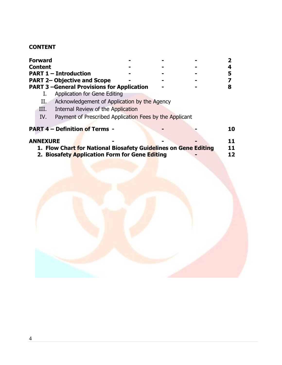# **CONTENT**

|                                                                    | <b>Forward</b>  |                                                                 |  |  |    |
|--------------------------------------------------------------------|-----------------|-----------------------------------------------------------------|--|--|----|
|                                                                    | <b>Content</b>  |                                                                 |  |  |    |
| <b>PART 1 - Introduction</b><br><b>PART 2- Objective and Scope</b> |                 |                                                                 |  |  | 5  |
|                                                                    |                 |                                                                 |  |  |    |
|                                                                    |                 | <b>PART 3-General Provisions for Application</b>                |  |  |    |
|                                                                    |                 | <b>Application for Gene Editing</b>                             |  |  |    |
|                                                                    | П.              | Acknowledgement of Application by the Agency                    |  |  |    |
|                                                                    | III.            | Internal Review of the Application                              |  |  |    |
|                                                                    | IV.             | Payment of Prescribed Application Fees by the Applicant         |  |  |    |
|                                                                    |                 | <b>PART 4 - Definition of Terms -</b>                           |  |  | 10 |
|                                                                    | <b>ANNEXURE</b> |                                                                 |  |  | 11 |
|                                                                    |                 | 1. Flow Chart for National Biosafety Guidelines on Gene Editing |  |  | 11 |
|                                                                    |                 | 2. Biosafety Application Form for Gene Editing                  |  |  | 12 |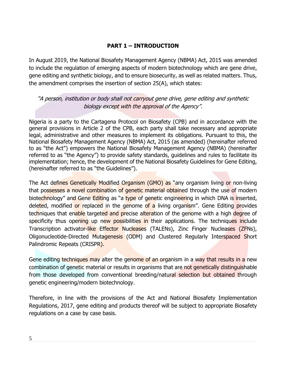#### **PART 1 – INTRODUCTION**

In August 2019, the National Biosafety Management Agency (NBMA) Act, 2015 was amended to include the regulation of emerging aspects of modern biotechnology which are gene drive, gene editing and synthetic biology, and to ensure biosecurity, as well as related matters. Thus, the amendment comprises the insertion of section 25(A), which states:

#### "A person, institution or body shall not carryout gene drive, gene editing and synthetic biology except with the approval of the Agency".

Nigeria is a party to the Cartagena Protocol on Biosafety (CPB) and in accordance with the general provisions in Article 2 of the CPB, each party shall take necessary and appropriate legal, administrative and other measures to implement its obligations. Pursuant to this, the National Biosafety Management Agency (NBMA) Act, 2015 (as amended) (hereinafter referred to as "the Act") empowers the National Biosafety Management Agency (NBMA) (hereinafter referred to as "the Agency") to provide safety standards, guidelines and rules to facilitate its implementation; hence, the development of the National Biosafety Guidelines for Gene Editing, (hereinafter referred to as "the Guidelines").

The Act defines Genetically Modified Organism (GMO) as "any organism living or non-living that possesses a novel combination of genetic material obtained through the use of modern biotechnology" and Gene Editing as "a type of genetic engineering in which DNA is inserted, deleted, modified or replaced in the genome of a living organism". Gene Editing provides techniques that enable targeted and precise alteration of the genome with a high degree of specificity thus opening up new possibilities in their applications. The techniques include Transcription activator-like Effector Nucleases (TALENs), Zinc Finger Nucleases (ZFNs), Oligonucleotide-Directed Mutagenesis (ODM) and Clustered Regularly Interspaced Short Palindromic Repeats (CRISPR).

Gene editing techniques may alter the genome of an organism in a way that results in a new combination of genetic material or results in organisms that are not genetically distinguishable from those developed from conventional breeding/natural selection but obtained through genetic engineering/modern biotechnology.

Therefore, in line with the provisions of the Act and National Biosafety Implementation Regulations, 2017, gene editing and products thereof will be subject to appropriate Biosafety regulations on a case by case basis.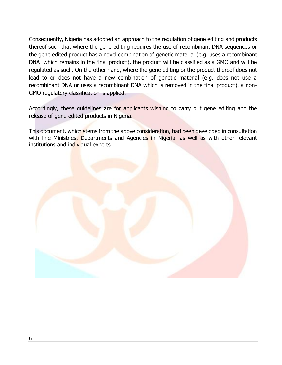Consequently, Nigeria has adopted an approach to the regulation of gene editing and products thereof such that where the gene editing requires the use of recombinant DNA sequences or the gene edited product has a novel combination of genetic material (e.g. uses a recombinant DNA which remains in the final product), the product will be classified as a GMO and will be regulated as such. On the other hand, where the gene editing or the product thereof does not lead to or does not have a new combination of genetic material (e.g. does not use a recombinant DNA or uses a recombinant DNA which is removed in the final product), a non-GMO regulatory classification is applied.

Accordingly, these guidelines are for applicants wishing to carry out gene editing and the release of gene edited products in Nigeria.

This document, which stems from the above consideration, had been developed in consultation with line Ministries, Departments and Agencies in Nigeria, as well as with other relevant institutions and individual experts.

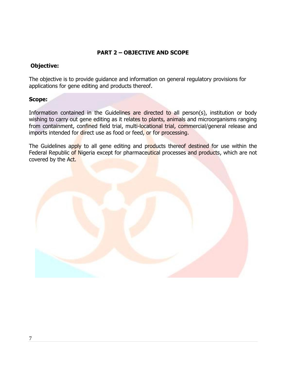#### **PART 2 – OBJECTIVE AND SCOPE**

#### **Objective:**

The objective is to provide guidance and information on general regulatory provisions for applications for gene editing and products thereof.

#### **Scope:**

Information contained in the Guidelines are directed to all person(s), institution or body wishing to carry out gene editing as it relates to plants, animals and microorganisms ranging from containment, confined field trial, multi-locational trial, commercial/general release and imports intended for direct use as food or feed, or for processing.

The Guidelines apply to all gene editing and products thereof destined for use within the Federal Republic of Nigeria except for pharmaceutical processes and products, which are not covered by the Act.

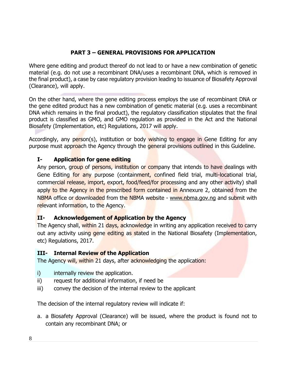### **PART 3 – GENERAL PROVISIONS FOR APPLICATION**

Where gene editing and product thereof do not lead to or have a new combination of genetic material (e.g. do not use a recombinant DNA/uses a recombinant DNA, which is removed in the final product), a case by case regulatory provision leading to issuance of Biosafety Approval (Clearance), will apply.

On the other hand, where the gene editing process employs the use of recombinant DNA or the gene edited product has a new combination of genetic material (e.g. uses a recombinant DNA which remains in the final product), the regulatory classification stipulates that the final product is classified as GMO, and GMO regulation as provided in the Act and the National Biosafety (Implementation, etc) Regulations, 2017 will apply.

Accordingly, any person(s), institution or body wishing to engage in Gene Editing for any purpose must approach the Agency through the general provisions outlined in this Guideline.

#### **I- Application for gene editing**

Any person, group of persons, institution or company that intends to have dealings with Gene Editing for any purpose (containment, confined field trial, multi-locational trial, commercial release, import, export, food/feed/for processing and any other activity) shall apply to the Agency in the prescribed form contained in Annexure 2, obtained from the NBMA office or downloaded from the NBMA website - [www.nbma.gov.ng](http://www.nbma.gov.ng/) and submit with relevant information, to the Agency.

#### **II- Acknowledgement of Application by the Agency**

The Agency shall, within 21 days, acknowledge in writing any application received to carry out any activity using gene editing as stated in the National Biosafety (Implementation, etc) Regulations, 2017.

#### **III- Internal Review of the Application**

The Agency will, within 21 days, after acknowledging the application:

- i) internally review the application.
- ii) request for additional information, if need be
- iii) convey the decision of the internal review to the applicant

The decision of the internal regulatory review will indicate if:

a. a Biosafety Approval (Clearance) will be issued, where the product is found not to contain any recombinant DNA; or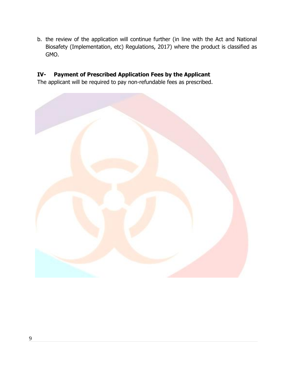b. the review of the application will continue further (in line with the Act and National Biosafety (Implementation, etc) Regulations, 2017) where the product is classified as GMO.

### **IV- Payment of Prescribed Application Fees by the Applicant**

The applicant will be required to pay non-refundable fees as prescribed.

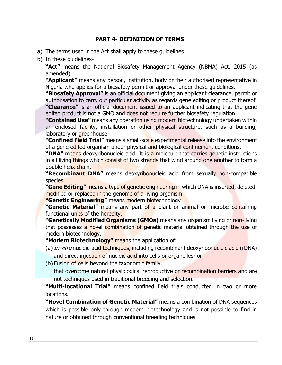#### **PART 4- DEFINITION OF TERMS**

- a) The terms used in the Act shall apply to these guidelines
- b) In these guidelines-

**"Act"** means the National Biosafety Management Agency (NBMA) Act, 2015 (as amended).

**"Applicant"** means any person, institution, body or their authorised representative in Nigeria who applies for a biosafety permit or approval under these guidelines.

**"Biosafety Approval"** is an official document giving an applicant clearance, permit or authorisation to carry out particular activity as regards gene editing or product thereof. **"Clearance"** is an official document issued to an applicant indicating that the gene edited product is not a GMO and does not require further biosafety regulation.

**"Contained Use"** means any operation using modern biotechnology undertaken within an enclosed facility, installation or other physical structure, such as a building, laboratory or greenhouse.

**"Confined Field Trial"** means a small-scale experimental release into the environment of a gene edited organism under physical and biological confinement conditions.

"DNA" means deoxyribonucleic acid. It is a molecule that carries genetic instructions in all living things which consist of two strands that wind around one another to form a double helix chain.

**"Recombinant DNA"** means deoxyribonucleic acid from sexually non-compatible species.

**"Gene Editing"** means a type of genetic engineering in which DNA is inserted, deleted, modified or replaced in the genome of a living organism.

**"Genetic Engineering"** means modern biotechnology

**"Genetic Material"** means any part of a plant or animal or microbe containing functional units of the heredity.

**"Genetically Modified Organisms (GMOs)** means any organism living or non-living that possesses a novel combination of genetic material obtained through the use of modern biotechnology.

**"Modern Biotechnology"** means the application of:

- (a) In vitro nucleic-acid techniques, including recombinant deoxyribonucleic acid (rDNA) and direct injection of nucleic acid into cells or organelles; or
- (b) Fusion of cells beyond the taxonomic family,

that overcome natural physiological reproductive or recombination barriers and are not techniques used in traditional breeding and selection.

**"Multi-locational Trial"** means confined field trials conducted in two or more locations.

**"Novel Combination of Genetic Material"** means a combination of DNA sequences which is possible only through modern biotechnology and is not possible to find in nature or obtained through conventional breeding techniques.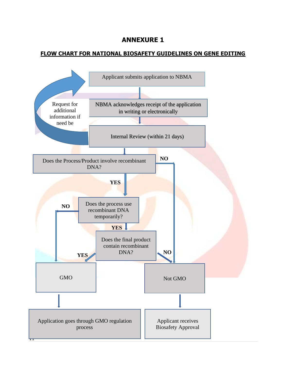### **ANNEXURE 1**

#### **FLOW CHART FOR NATIONAL BIOSAFETY GUIDELINES ON GENE EDITING**

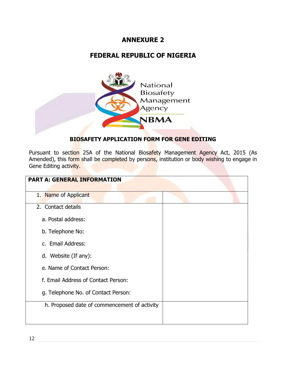## **ANNEXURE 2**

## **FEDERAL REPUBLIC OF NIGERIA**



#### **BIOSAFETY APPLICATION FORM FOR GENE EDITING**

Pursuant to section 25A of the National Biosafety Management Agency Act, 2015 (As Amended), this form shall be completed by persons, institution or body wishing to engage in Gene Editing activity.

| <b>PART A: GENERAL INFORMATION</b>           |  |
|----------------------------------------------|--|
| 1. Name of Applicant                         |  |
| 2. Contact details                           |  |
| a. Postal address:                           |  |
| b. Telephone No:                             |  |
| c. Email Address:                            |  |
| d. Website (If any):                         |  |
| e. Name of Contact Person:                   |  |
| f. Email Address of Contact Person:          |  |
| g. Telephone No. of Contact Person:          |  |
| h. Proposed date of commencement of activity |  |
|                                              |  |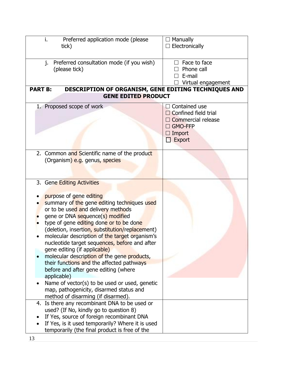| Preferred application mode (please<br>i.<br>tick)                                                                                                                                                                                                                                                                                                                                                                                                                                                                                                                                                                                                                                                    | $\Box$ Manually<br>$\Box$ Electronically                                                                               |
|------------------------------------------------------------------------------------------------------------------------------------------------------------------------------------------------------------------------------------------------------------------------------------------------------------------------------------------------------------------------------------------------------------------------------------------------------------------------------------------------------------------------------------------------------------------------------------------------------------------------------------------------------------------------------------------------------|------------------------------------------------------------------------------------------------------------------------|
| Preferred consultation mode (if you wish)<br>j.<br>(please tick)                                                                                                                                                                                                                                                                                                                                                                                                                                                                                                                                                                                                                                     | $\Box$ Face to face<br>Phone call<br>$\Box$ E-mail<br>Virtual engagement                                               |
| <b>PART B:</b><br>DESCRIPTION OF ORGANISM, GENE EDITING TECHNIQUES AND<br><b>GENE EDITED PRODUCT</b>                                                                                                                                                                                                                                                                                                                                                                                                                                                                                                                                                                                                 |                                                                                                                        |
| 1. Proposed scope of work                                                                                                                                                                                                                                                                                                                                                                                                                                                                                                                                                                                                                                                                            | $\Box$ Contained use<br>$\Box$ Confined field trial<br>Commercial release<br>$\Box$ GMO-FFP<br>$\Box$ Import<br>Export |
| 2. Common and Scientific name of the product<br>(Organism) e.g. genus, species                                                                                                                                                                                                                                                                                                                                                                                                                                                                                                                                                                                                                       |                                                                                                                        |
| 3. Gene Editing Activities<br>purpose of gene editing<br>summary of the gene editing techniques used<br>or to be used and delivery methods<br>gene or DNA sequence(s) modified<br>type of gene editing done or to be done<br>(deletion, insertion, substitution/replacement)<br>molecular description of the target organism's<br>nucleotide target sequences, before and after<br>gene editing (if applicable)<br>molecular description of the gene products,<br>their functions and the affected pathways<br>before and after gene editing (where<br>applicable)<br>Name of vector(s) to be used or used, genetic<br>map, pathogenicity, disarmed status and<br>method of disarming (if disarmed). |                                                                                                                        |
| 4. Is there any recombinant DNA to be used or<br>used? (If No, kindly go to question 8)<br>If Yes, source of foreign recombinant DNA<br>If Yes, is it used temporarily? Where it is used<br>temporarily (the final product is free of the                                                                                                                                                                                                                                                                                                                                                                                                                                                            |                                                                                                                        |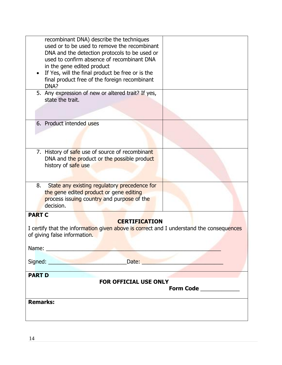| recombinant DNA) describe the techniques<br>used or to be used to remove the recombinant<br>DNA and the detection protocols to be used or<br>used to confirm absence of recombinant DNA<br>in the gene edited product<br>If Yes, will the final product be free or is the<br>final product free of the foreign recombinant |  |  |  |  |  |
|----------------------------------------------------------------------------------------------------------------------------------------------------------------------------------------------------------------------------------------------------------------------------------------------------------------------------|--|--|--|--|--|
| DNA?<br>5. Any expression of new or altered trait? If yes,<br>state the trait.                                                                                                                                                                                                                                             |  |  |  |  |  |
| 6. Product intended uses                                                                                                                                                                                                                                                                                                   |  |  |  |  |  |
| 7. History of safe use of source of recombinant<br>DNA and the product or the possible product<br>history of safe use                                                                                                                                                                                                      |  |  |  |  |  |
| State any existing regulatory precedence for<br>8.<br>the gene edited product or gene editing<br>process issuing country and purpose of the<br>decision.                                                                                                                                                                   |  |  |  |  |  |
| <b>PART C</b><br><b>CERTIFICATION</b><br>I certify that the information given above is correct and I understand the consequences<br>of giving false information.                                                                                                                                                           |  |  |  |  |  |
|                                                                                                                                                                                                                                                                                                                            |  |  |  |  |  |
| Date: <b>Example 20</b>                                                                                                                                                                                                                                                                                                    |  |  |  |  |  |
| <b>PART D</b>                                                                                                                                                                                                                                                                                                              |  |  |  |  |  |
| <b>FOR OFFICIAL USE ONLY</b><br>Form Code <u>______________</u>                                                                                                                                                                                                                                                            |  |  |  |  |  |
| <b>Remarks:</b>                                                                                                                                                                                                                                                                                                            |  |  |  |  |  |